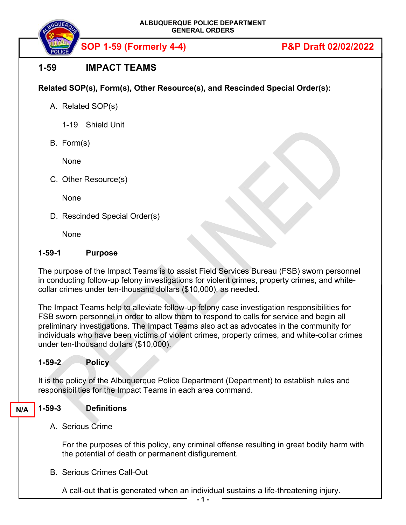**ALBUQUERQUE POLICE DEPARTMENT GENERAL ORDERS** 

**SOP 1-59 (Formerly 4-4) P&P Draft 02/02/2022**

# **1-59 IMPACT TEAMS**

**Related SOP(s), Form(s), Other Resource(s), and Rescinded Special Order(s):**

A. Related SOP(s)

1-19 Shield Unit

B. Form(s)

None

C. Other Resource(s)

None

D. Rescinded Special Order(s)

None

### **1-59-1 Purpose**

The purpose of the Impact Teams is to assist Field Services Bureau (FSB) sworn personnel in conducting follow-up felony investigations for violent crimes, property crimes, and whitecollar crimes under ten-thousand dollars (\$10,000), as needed.

The Impact Teams help to alleviate follow-up felony case investigation responsibilities for FSB sworn personnel in order to allow them to respond to calls for service and begin all preliminary investigations. The Impact Teams also act as advocates in the community for individuals who have been victims of violent crimes, property crimes, and white-collar crimes under ten-thousand dollars (\$10,000).

#### **1-59-2 Policy**

It is the policy of the Albuquerque Police Department (Department) to establish rules and responsibilities for the Impact Teams in each area command.

#### **1-59-3 Definitions N/A**

A. Serious Crime

For the purposes of this policy, any criminal offense resulting in great bodily harm with the potential of death or permanent disfigurement.

B. Serious Crimes Call-Out

A call-out that is generated when an individual sustains a life-threatening injury.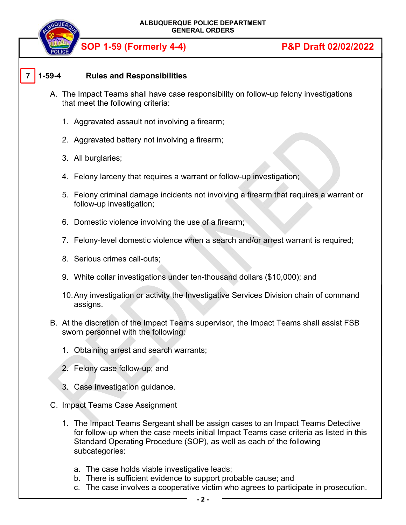

# **SOP 1-59 (Formerly 4-4) P&P Draft 02/02/2022**

#### **1-59-4 Rules and Responsibilities 7**

- A. The Impact Teams shall have case responsibility on follow-up felony investigations that meet the following criteria:
	- 1. Aggravated assault not involving a firearm;
	- 2. Aggravated battery not involving a firearm;
	- 3. All burglaries;
	- 4. Felony larceny that requires a warrant or follow-up investigation;
	- 5. Felony criminal damage incidents not involving a firearm that requires a warrant or follow-up investigation;
	- 6. Domestic violence involving the use of a firearm;
	- 7. Felony-level domestic violence when a search and/or arrest warrant is required;
	- 8. Serious crimes call-outs;
	- 9. White collar investigations under ten-thousand dollars (\$10,000); and
	- 10. Any investigation or activity the Investigative Services Division chain of command assigns.
- B. At the discretion of the Impact Teams supervisor, the Impact Teams shall assist FSB sworn personnel with the following:
	- 1. Obtaining arrest and search warrants;
	- 2. Felony case follow-up; and
	- 3. Case investigation guidance.
- C. Impact Teams Case Assignment
	- 1. The Impact Teams Sergeant shall be assign cases to an Impact Teams Detective for follow-up when the case meets initial Impact Teams case criteria as listed in this Standard Operating Procedure (SOP), as well as each of the following subcategories:
		- a. The case holds viable investigative leads;
		- b. There is sufficient evidence to support probable cause; and
		- c. The case involves a cooperative victim who agrees to participate in prosecution.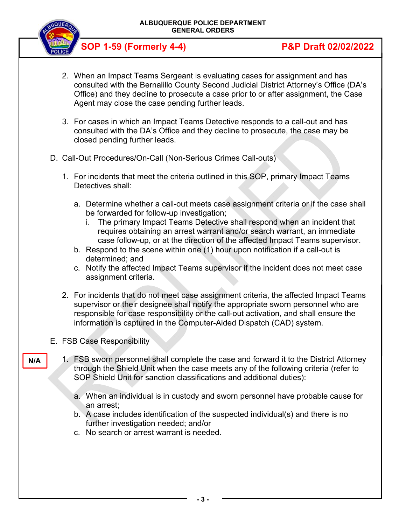

**SOP 1-59 (Formerly 4-4) P&P Draft 02/02/2022**

- 2. When an Impact Teams Sergeant is evaluating cases for assignment and has consulted with the Bernalillo County Second Judicial District Attorney's Office (DA's Office) and they decline to prosecute a case prior to or after assignment, the Case Agent may close the case pending further leads.
- 3. For cases in which an Impact Teams Detective responds to a call-out and has consulted with the DA's Office and they decline to prosecute, the case may be closed pending further leads.
- D. Call-Out Procedures/On-Call (Non-Serious Crimes Call-outs)
	- 1. For incidents that meet the criteria outlined in this SOP, primary Impact Teams Detectives shall:
		- a. Determine whether a call-out meets case assignment criteria or if the case shall be forwarded for follow-up investigation;
			- i. The primary Impact Teams Detective shall respond when an incident that requires obtaining an arrest warrant and/or search warrant, an immediate case follow-up, or at the direction of the affected Impact Teams supervisor.
		- b. Respond to the scene within one (1) hour upon notification if a call-out is determined; and
		- c. Notify the affected Impact Teams supervisor if the incident does not meet case assignment criteria.
	- 2. For incidents that do not meet case assignment criteria, the affected Impact Teams supervisor or their designee shall notify the appropriate sworn personnel who are responsible for case responsibility or the call-out activation, and shall ensure the information is captured in the Computer-Aided Dispatch (CAD) system.
- E. FSB Case Responsibility
	- 1. FSB sworn personnel shall complete the case and forward it to the District Attorney through the Shield Unit when the case meets any of the following criteria (refer to SOP Shield Unit for sanction classifications and additional duties):
		- a. When an individual is in custody and sworn personnel have probable cause for an arrest;
		- b. A case includes identification of the suspected individual(s) and there is no further investigation needed; and/or
		- c. No search or arrest warrant is needed.

**N/A**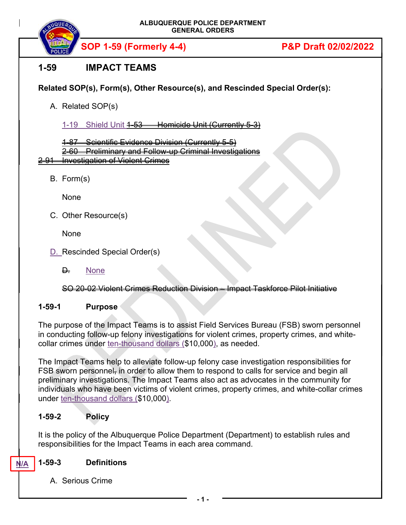

**SOP 1-59 (Formerly 4-4) P&P Draft 02/02/2022**

# **1-59 IMPACT TEAMS**

## **Related SOP(s), Form(s), Other Resource(s), and Rescinded Special Order(s):**

A. Related SOP(s)

1-19 Shield Unit 4-53 Homicide Unit (Currently 5-3)

Scientific Evidence Division (Currently 5-5)

2-60 Preliminary and Follow-up Criminal Investigations 2-91 Investigation of Violent Crimes

B. Form(s)

None

C. Other Resource(s)

None

- D. Rescinded Special Order(s)
	- **D.** None

SO 20-02 Violent Crimes Reduction Division – Impact Taskforce Pilot Initiative

### **1-59-1 Purpose**

The purpose of the Impact Teams is to assist Field Services Bureau (FSB) sworn personnel in conducting follow-up felony investigations for violent crimes, property crimes, and whitecollar crimes under ten-thousand dollars (\$10,000), as needed.

The Impact Teams help to alleviate follow-up felony case investigation responsibilities for FSB sworn personnel, in order to allow them to respond to calls for service and begin all preliminary investigations. The Impact Teams also act as advocates in the community for individuals who have been victims of violent crimes, property crimes, and white-collar crimes under ten-thousand dollars (\$10,000).

### **1-59-2 Policy**

It is the policy of the Albuquerque Police Department (Department) to establish rules and responsibilities for the Impact Teams in each area command.

#### **1-59-3 Definitions N/A**

A. Serious Crime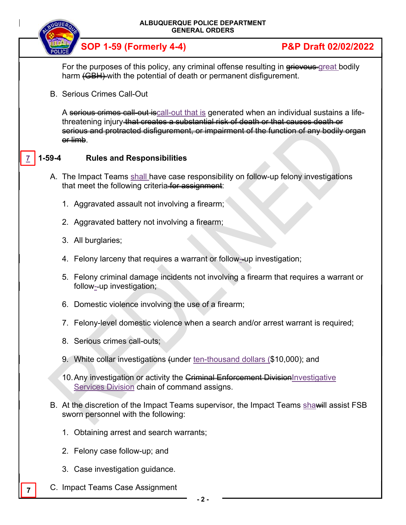| ALBUQUERQUE POLICE DEPARTMENT<br><b>GENERAL ORDERS</b> |                                                                                                                                           |                                                                                                                                                                                                                                                                                           |                                 |  |
|--------------------------------------------------------|-------------------------------------------------------------------------------------------------------------------------------------------|-------------------------------------------------------------------------------------------------------------------------------------------------------------------------------------------------------------------------------------------------------------------------------------------|---------------------------------|--|
|                                                        |                                                                                                                                           | <b>SOP 1-59 (Formerly 4-4)</b>                                                                                                                                                                                                                                                            | <b>P&amp;P Draft 02/02/2022</b> |  |
|                                                        |                                                                                                                                           | For the purposes of this policy, any criminal offense resulting in grievous-great bodily<br>harm (GBH)-with the potential of death or permanent disfigurement.                                                                                                                            |                                 |  |
|                                                        | <b>B. Serious Crimes Call-Out</b>                                                                                                         |                                                                                                                                                                                                                                                                                           |                                 |  |
|                                                        |                                                                                                                                           | A serious crimes call-out is call-out that is generated when an individual sustains a life-<br>threatening injury that creates a substantial risk of death or that causes death or<br>serious and protracted disfigurement, or impairment of the function of any bodily organ<br>er limb. |                                 |  |
| 1-59-4                                                 |                                                                                                                                           | <b>Rules and Responsibilities</b>                                                                                                                                                                                                                                                         |                                 |  |
|                                                        | A. The Impact Teams shall have case responsibility on follow-up felony investigations<br>that meet the following criteria for assignment: |                                                                                                                                                                                                                                                                                           |                                 |  |
|                                                        |                                                                                                                                           | 1. Aggravated assault not involving a firearm;                                                                                                                                                                                                                                            |                                 |  |
|                                                        |                                                                                                                                           | 2. Aggravated battery not involving a firearm;                                                                                                                                                                                                                                            |                                 |  |
|                                                        |                                                                                                                                           | 3. All burglaries;                                                                                                                                                                                                                                                                        |                                 |  |
|                                                        |                                                                                                                                           | 4. Felony larceny that requires a warrant or follow-up investigation;                                                                                                                                                                                                                     |                                 |  |
|                                                        |                                                                                                                                           | 5. Felony criminal damage incidents not involving a firearm that requires a warrant or<br>follow--up investigation;                                                                                                                                                                       |                                 |  |
|                                                        |                                                                                                                                           | 6. Domestic violence involving the use of a firearm;                                                                                                                                                                                                                                      |                                 |  |
|                                                        |                                                                                                                                           | 7. Felony-level domestic violence when a search and/or arrest warrant is required;                                                                                                                                                                                                        |                                 |  |
|                                                        |                                                                                                                                           | 8. Serious crimes call-outs;                                                                                                                                                                                                                                                              |                                 |  |
|                                                        |                                                                                                                                           | 9. White collar investigations (under ten-thousand dollars (\$10,000); and                                                                                                                                                                                                                |                                 |  |
|                                                        |                                                                                                                                           | 10. Any investigation or activity the Griminal Enforcement Division Investigative<br>Services Division chain of command assigns.                                                                                                                                                          |                                 |  |
|                                                        |                                                                                                                                           | B. At the discretion of the Impact Teams supervisor, the Impact Teams shawill assist FSB<br>sworn personnel with the following:                                                                                                                                                           |                                 |  |
|                                                        |                                                                                                                                           | 1. Obtaining arrest and search warrants;                                                                                                                                                                                                                                                  |                                 |  |
|                                                        |                                                                                                                                           | 2. Felony case follow-up; and                                                                                                                                                                                                                                                             |                                 |  |
|                                                        |                                                                                                                                           | 3. Case investigation guidance.                                                                                                                                                                                                                                                           |                                 |  |
|                                                        |                                                                                                                                           | C. Impact Teams Case Assignment                                                                                                                                                                                                                                                           |                                 |  |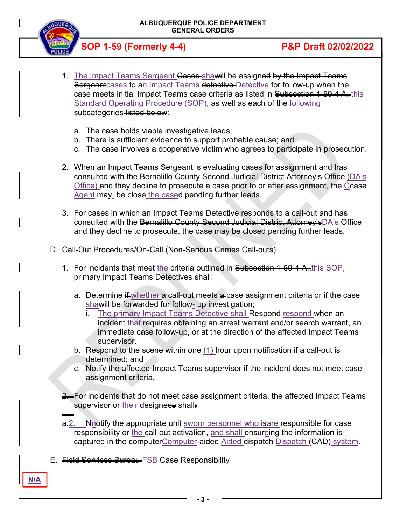**ALBUQUERQUE POLICE DEPARTMENT GENERAL ORDERS** 



-

**N/A**

**SOP 1-59 (Formerly 4-4) P&P Draft 02/02/2022**

- 1. The Impact Teams Sergeant Cases shawill be assigned by the Impact Teams **Sergeant** cases to an Impact Teams detective Detective for follow-up when the case meets initial Impact Teams case criteria as listed in Subsection 1-59-4 A.,this Standard Operating Procedure (SOP), as well as each of the following subcategories listed below:
	- a. The case holds viable investigative leads;
	- b. There is sufficient evidence to support probable cause; and
	- c. The case involves a cooperative victim who agrees to participate in prosecution.
- 2. When an Impact Teams Sergeant is evaluating cases for assignment and has consulted with the Bernalillo County Second Judicial District Attorney's Office (DA's Office) and they decline to prosecute a case prior to or after assignment, the Cease  $\overline{A}$ gent may  $\overline{A}$  be close the cased pending further leads.
- 3. For cases in which an Impact Teams Detective responds to a call-out and has consulted with the Bernalillo County Second Judicial District Attorney's DA's Office and they decline to prosecute, the case may be closed pending further leads.
- D. Call-Out Procedures/On-Call (Non-Serious Crimes Call-outs)
	- 1. For incidents that meet the criteria outlined in Subsection 1-59-4 A., this SOP, primary Impact Teams Detectives shall:
		- a. Determine  $\frac{1}{2}$  whether a call-out meets  $\frac{1}{2}$  case assignment criteria or if the case shawill be forwarded for follow--up investigation;
			- The primary Impact Teams Detective shall Respond-respond when an incident that requires obtaining an arrest warrant and/or search warrant, an immediate case follow-up, or at the direction of the affected Impact Teams supervisor.
		- b. Respond to the scene within one (1) hour upon notification if a call-out is determined; and
		- c. Notify the affected Impact Teams supervisor if the incident does not meet case assignment criteria.
	- <del>2. F</del>or incidents that do not meet case assignment criteria, the affected Impact Teams supervisor or their designees shall
	- a. Nnotify the appropriate unit sworn personnel who isare responsible for case responsibility or the call-out activation, and shall ensureing the information is captured in the **computerComputer-aided-Aided dispatch-Dispatch (CAD)** system.
- E. Field Services Bureau FSB Case Responsibility